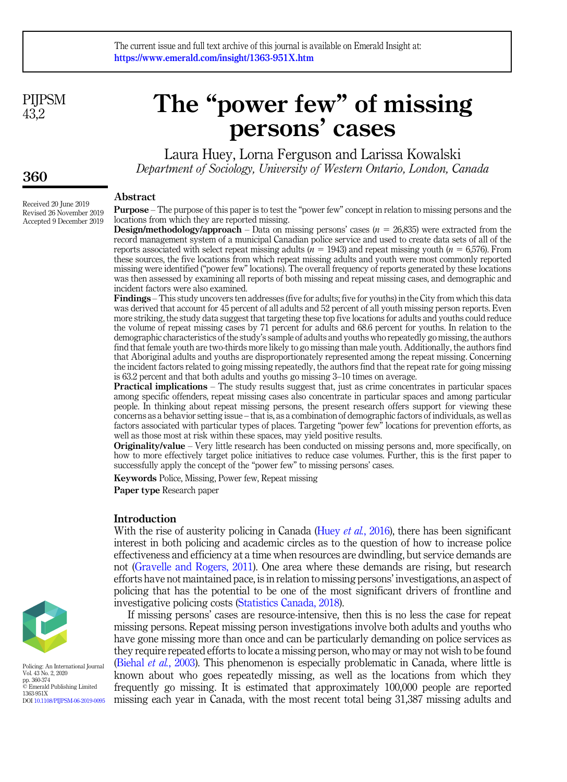**PIIPSM** 43.2

# The "power few" of missing persons' cases

Laura Huey, Lorna Ferguson and Larissa Kowalski Department of Sociology, University of Western Ontario, London, Canada

#### Abstract

Purpose – The purpose of this paper is to test the "power few" concept in relation to missing persons and the locations from which they are reported missing.

**Design/methodology/approach** – Data on missing persons' cases ( $n = 26,835$ ) were extracted from the record management system of a municipal Canadian police service and used to create data sets of all of the reports associated with select repeat missing adults ( $n = 1943$ ) and repeat missing youth ( $n = 6,576$ ). From these sources, the five locations from which repeat missing adults and youth were most commonly reported missing were identified ("power few" locations). The overall frequency of reports generated by these locations was then assessed by examining all reports of both missing and repeat missing cases, and demographic and incident factors were also examined.

Findings – This study uncovers ten addresses (five for adults; five for youths) in the City from which this data was derived that account for 45 percent of all adults and 52 percent of all youth missing person reports. Even more striking, the study data suggest that targeting these top five locations for adults and youths could reduce the volume of repeat missing cases by 71 percent for adults and 68.6 percent for youths. In relation to the demographic characteristics of the study's sample of adults and youths who repeatedly go missing, the authors find that female youth are two-thirds more likely to go missing than male youth. Additionally, the authors find that Aboriginal adults and youths are disproportionately represented among the repeat missing. Concerning the incident factors related to going missing repeatedly, the authors find that the repeat rate for going missing is 63.2 percent and that both adults and youths go missing 3–10 times on average.

Practical implications – The study results suggest that, just as crime concentrates in particular spaces among specific offenders, repeat missing cases also concentrate in particular spaces and among particular people. In thinking about repeat missing persons, the present research offers support for viewing these concerns as a behavior setting issue – that is, as a combination of demographic factors of individuals, as well as factors associated with particular types of places. Targeting "power few" locations for prevention efforts, as well as those most at risk within these spaces, may yield positive results.

**Originality/value** – Very little research has been conducted on missing persons and, more specifically, on how to more effectively target police initiatives to reduce case volumes. Further, this is the first paper to successfully apply the concept of the "power few" to missing persons' cases.

Keywords Police, Missing, Power few, Repeat missing Paper type Research paper

## Introduction

With the rise of austerity policing in Canada (Huey *et al.*[, 2016](#page-13-0)), there has been significant interest in both policing and academic circles as to the question of how to increase police effectiveness and efficiency at a time when resources are dwindling, but service demands are not [\(Gravelle and Rogers, 2011](#page-12-0)). One area where these demands are rising, but research efforts have not maintained pace, is in relation to missing persons' investigations, an aspect of policing that has the potential to be one of the most significant drivers of frontline and investigative policing costs [\(Statistics Canada, 2018](#page-14-0)).

If missing persons' cases are resource-intensive, then this is no less the case for repeat missing persons. Repeat missing person investigations involve both adults and youths who have gone missing more than once and can be particularly demanding on police services as they require repeated efforts to locate a missing person, who may or may not wish to be found ([Biehal](#page-12-1) et al., 2003). This phenomenon is especially problematic in Canada, where little is known about who goes repeatedly missing, as well as the locations from which they frequently go missing. It is estimated that approximately 100,000 people are reported missing each year in Canada, with the most recent total being 31,387 missing adults and



Policing: An International Journal Vol. 43 No. 2, 2020 pp. 360-374 © Emerald Publishing Limited 1363-951X DOI [10.1108/PIJPSM-06-2019-0095](https://doi.org/10.1108/PIJPSM-06-2019-0095)

# 360

Received 20 June 2019 Revised 26 November 2019 Accepted 9 December 2019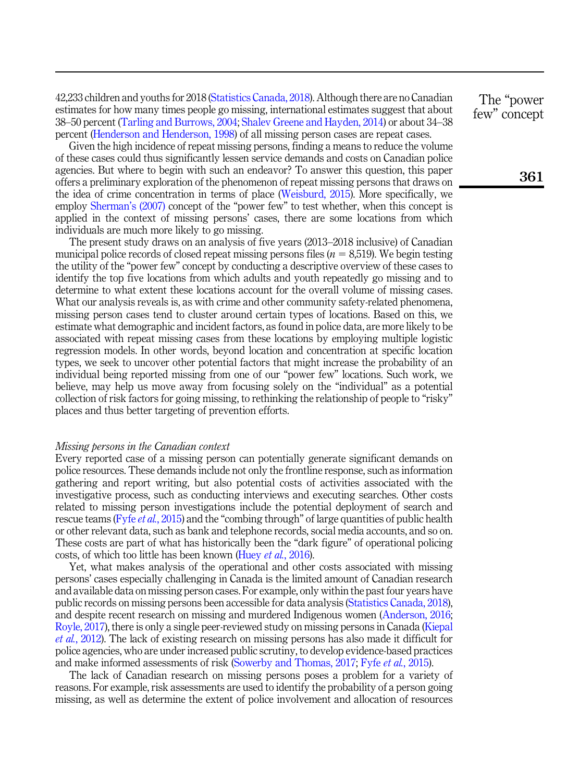42,233 children and youths for 2018 ([Statistics Canada, 2018\)](#page-14-0). Although there are no Canadian estimates for how many times people go missing, international estimates suggest that about 38–50 percent [\(Tarling and Burrows, 2004;](#page-14-1) [Shalev Greene and Hayden, 2014\)](#page-13-1) or about 34–38 percent [\(Henderson and Henderson, 1998\)](#page-12-2) of all missing person cases are repeat cases.

Given the high incidence of repeat missing persons, finding a means to reduce the volume of these cases could thus significantly lessen service demands and costs on Canadian police agencies. But where to begin with such an endeavor? To answer this question, this paper offers a preliminary exploration of the phenomenon of repeat missing persons that draws on the idea of crime concentration in terms of place ([Weisburd, 2015\)](#page-14-2). More specifically, we employ [Sherman](#page-13-2)'s (2007) concept of the "power few" to test whether, when this concept is applied in the context of missing persons' cases, there are some locations from which individuals are much more likely to go missing.

The present study draws on an analysis of five years (2013–2018 inclusive) of Canadian municipal police records of closed repeat missing persons files ( $n = 8,519$ ). We begin testing the utility of the "power few" concept by conducting a descriptive overview of these cases to identify the top five locations from which adults and youth repeatedly go missing and to determine to what extent these locations account for the overall volume of missing cases. What our analysis reveals is, as with crime and other community safety-related phenomena, missing person cases tend to cluster around certain types of locations. Based on this, we estimate what demographic and incident factors, as found in police data, are more likely to be associated with repeat missing cases from these locations by employing multiple logistic regression models. In other words, beyond location and concentration at specific location types, we seek to uncover other potential factors that might increase the probability of an individual being reported missing from one of our "power few" locations. Such work, we believe, may help us move away from focusing solely on the "individual" as a potential collection of risk factors for going missing, to rethinking the relationship of people to "risky" places and thus better targeting of prevention efforts.

# Missing persons in the Canadian context

Every reported case of a missing person can potentially generate significant demands on police resources. These demands include not only the frontline response, such as information gathering and report writing, but also potential costs of activities associated with the investigative process, such as conducting interviews and executing searches. Other costs related to missing person investigations include the potential deployment of search and rescue teams ( $F$ yfe *et al.*[, 2015](#page-12-3)) and the "combing through" of large quantities of public health or other relevant data, such as bank and telephone records, social media accounts, and so on. These costs are part of what has historically been the "dark figure" of operational policing costs, of which too little has been known (Huey *et al.*[, 2016](#page-13-0)).

Yet, what makes analysis of the operational and other costs associated with missing persons' cases especially challenging in Canada is the limited amount of Canadian research and available data on missing person cases. For example, only within the past four years have public records on missing persons been accessible for data analysis [\(Statistics Canada, 2018\)](#page-14-0), and despite recent research on missing and murdered Indigenous women ([Anderson, 2016](#page-12-4); [Royle, 2017](#page-13-3)), there is only a single peer-reviewed study on missing persons in Canada ([Kiepal](#page-13-4) et al.[, 2012](#page-13-4)). The lack of existing research on missing persons has also made it difficult for police agencies, who are under increased public scrutiny, to develop evidence-based practices and make informed assessments of risk ([Sowerby and Thomas, 2017;](#page-13-5) Fyfe et al.[, 2015](#page-12-3)).

The lack of Canadian research on missing persons poses a problem for a variety of reasons. For example, risk assessments are used to identify the probability of a person going missing, as well as determine the extent of police involvement and allocation of resources

The "power few" concept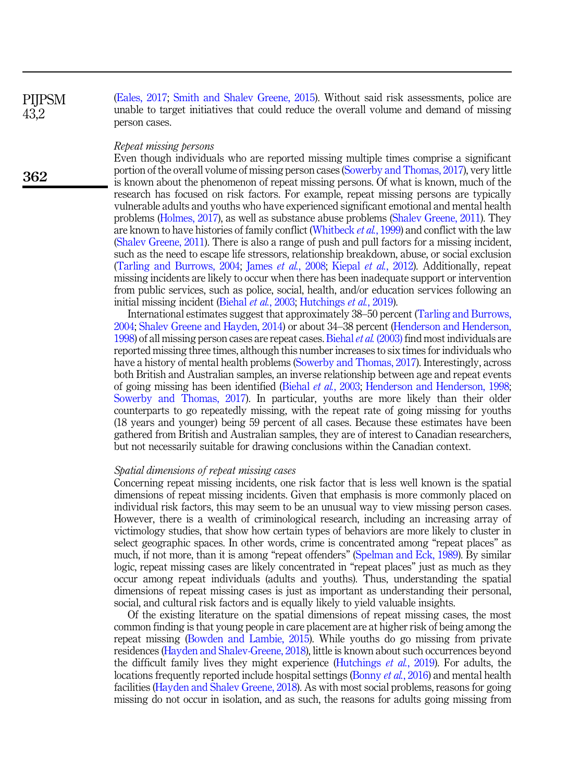([Eales, 2017](#page-12-5); [Smith and Shalev Greene, 2015](#page-13-6)). Without said risk assessments, police are unable to target initiatives that could reduce the overall volume and demand of missing person cases.

#### Repeat missing persons

Even though individuals who are reported missing multiple times comprise a significant portion of the overall volume of missing person cases ([Sowerby and Thomas, 2017](#page-13-5)), very little is known about the phenomenon of repeat missing persons. Of what is known, much of the research has focused on risk factors. For example, repeat missing persons are typically vulnerable adults and youths who have experienced significant emotional and mental health problems [\(Holmes, 2017\)](#page-13-7), as well as substance abuse problems ([Shalev Greene, 2011](#page-13-8)). They are known to have histories of family conflict ([Whitbeck](#page-14-3) et al., 1999) and conflict with the law ([Shalev Greene, 2011](#page-13-8)). There is also a range of push and pull factors for a missing incident, such as the need to escape life stressors, relationship breakdown, abuse, or social exclusion ([Tarling and Burrows, 2004;](#page-14-1) James et al.[, 2008](#page-13-9); [Kiepal](#page-13-4) et al., 2012). Additionally, repeat missing incidents are likely to occur when there has been inadequate support or intervention from public services, such as police, social, health, and/or education services following an initial missing incident ([Biehal](#page-12-1) et al., 2003; [Hutchings](#page-13-10) et al., 2019).

International estimates suggest that approximately 38–50 percent [\(Tarling and Burrows,](#page-14-1) [2004;](#page-14-1) [Shalev Greene and Hayden, 2014\)](#page-13-1) or about 34–38 percent ([Henderson and Henderson,](#page-12-2) [1998\)](#page-12-2) of all missing person cases are repeat cases. [Biehal](#page-12-1) *et al.* (2003) find most individuals are reported missing three times, although this number increases to six times for individuals who have a history of mental health problems ([Sowerby and Thomas, 2017](#page-13-5)). Interestingly, across both British and Australian samples, an inverse relationship between age and repeat events of going missing has been identified ([Biehal](#page-12-1) et al., 2003; [Henderson and Henderson, 1998](#page-12-2); [Sowerby and Thomas, 2017\)](#page-13-5). In particular, youths are more likely than their older counterparts to go repeatedly missing, with the repeat rate of going missing for youths (18 years and younger) being 59 percent of all cases. Because these estimates have been gathered from British and Australian samples, they are of interest to Canadian researchers, but not necessarily suitable for drawing conclusions within the Canadian context.

### Spatial dimensions of repeat missing cases

Concerning repeat missing incidents, one risk factor that is less well known is the spatial dimensions of repeat missing incidents. Given that emphasis is more commonly placed on individual risk factors, this may seem to be an unusual way to view missing person cases. However, there is a wealth of criminological research, including an increasing array of victimology studies, that show how certain types of behaviors are more likely to cluster in select geographic spaces. In other words, crime is concentrated among "repeat places" as much, if not more, than it is among "repeat offenders" ([Spelman and Eck, 1989\)](#page-13-11). By similar logic, repeat missing cases are likely concentrated in "repeat places" just as much as they occur among repeat individuals (adults and youths). Thus, understanding the spatial dimensions of repeat missing cases is just as important as understanding their personal, social, and cultural risk factors and is equally likely to yield valuable insights.

Of the existing literature on the spatial dimensions of repeat missing cases, the most common finding is that young people in care placement are at higher risk of being among the repeat missing [\(Bowden and Lambie, 2015](#page-12-6)). While youths do go missing from private residences ([Hayden and Shalev-Greene, 2018](#page-12-7)), little is known about such occurrences beyond the difficult family lives they might experience ([Hutchings](#page-13-10) et al., 2019). For adults, the locations frequently reported include hospital settings ([Bonny](#page-12-8) *et al.*, 2016) and mental health facilities [\(Hayden and Shalev Greene, 2018](#page-12-7)). As with most social problems, reasons for going missing do not occur in isolation, and as such, the reasons for adults going missing from

**PIIPSM** 43,2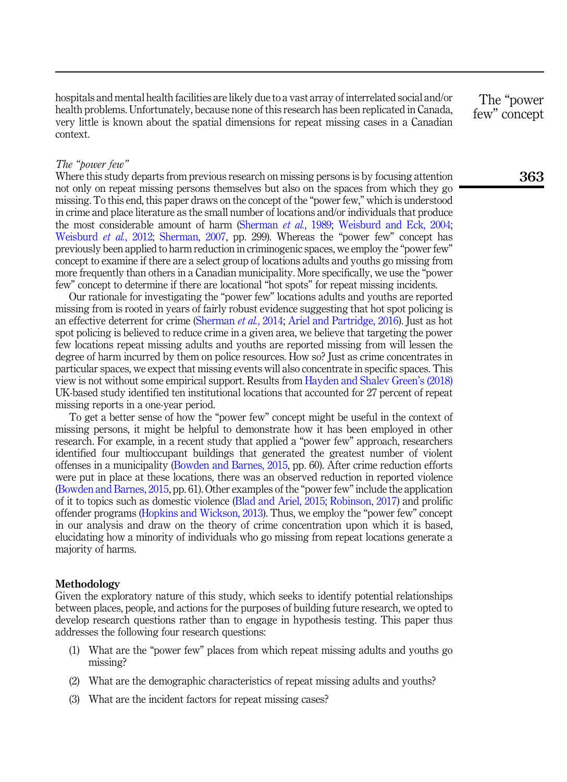hospitals and mental health facilities are likely due to a vast array of interrelated social and/or health problems. Unfortunately, because none of this research has been replicated in Canada, very little is known about the spatial dimensions for repeat missing cases in a Canadian context.

The "power few" concept

# The "power few"

Where this study departs from previous research on missing persons is by focusing attention not only on repeat missing persons themselves but also on the spaces from which they go missing. To this end, this paper draws on the concept of the "power few," which is understood in crime and place literature as the small number of locations and/or individuals that produce the most considerable amount of harm ([Sherman](#page-13-12) et al., 1989; [Weisburd and Eck, 2004](#page-14-4); [Weisburd](#page-14-5) *et al.*, 2012; [Sherman, 2007](#page-13-2), pp. 299). Whereas the "power few" concept has previously been applied to harm reduction in criminogenic spaces, we employ the "power few" concept to examine if there are a select group of locations adults and youths go missing from more frequently than others in a Canadian municipality. More specifically, we use the "power few" concept to determine if there are locational "hot spots" for repeat missing incidents.

Our rationale for investigating the "power few" locations adults and youths are reported missing from is rooted in years of fairly robust evidence suggesting that hot spot policing is an effective deterrent for crime ([Sherman](#page-13-13) et al., 2014; [Ariel and Partridge, 2016\)](#page-12-9). Just as hot spot policing is believed to reduce crime in a given area, we believe that targeting the power few locations repeat missing adults and youths are reported missing from will lessen the degree of harm incurred by them on police resources. How so? Just as crime concentrates in particular spaces, we expect that missing events will also concentrate in specific spaces. This view is not without some empirical support. Results from [Hayden and Shalev Green](#page-12-7)'s (2018) UK-based study identified ten institutional locations that accounted for 27 percent of repeat missing reports in a one-year period.

To get a better sense of how the "power few" concept might be useful in the context of missing persons, it might be helpful to demonstrate how it has been employed in other research. For example, in a recent study that applied a "power few" approach, researchers identified four multioccupant buildings that generated the greatest number of violent offenses in a municipality [\(Bowden and Barnes, 2015](#page-12-10), pp. 60). After crime reduction efforts were put in place at these locations, there was an observed reduction in reported violence ([Bowden and Barnes, 2015,](#page-12-10) pp. 61). Other examples of the "power few"include the application of it to topics such as domestic violence ([Blad and Ariel, 2015;](#page-12-11) [Robinson, 2017](#page-13-14)) and prolific offender programs [\(Hopkins and Wickson, 2013\)](#page-13-15). Thus, we employ the "power few" concept in our analysis and draw on the theory of crime concentration upon which it is based, elucidating how a minority of individuals who go missing from repeat locations generate a majority of harms.

# Methodology

Given the exploratory nature of this study, which seeks to identify potential relationships between places, people, and actions for the purposes of building future research, we opted to develop research questions rather than to engage in hypothesis testing. This paper thus addresses the following four research questions:

- (1) What are the "power few" places from which repeat missing adults and youths go missing?
- (2) What are the demographic characteristics of repeat missing adults and youths?
- (3) What are the incident factors for repeat missing cases?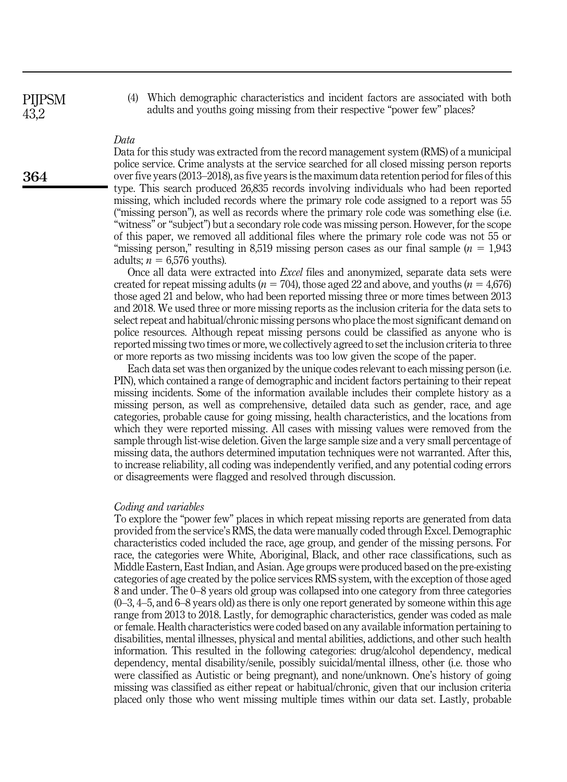**PIIPSM** 43,2

364

(4) Which demographic characteristics and incident factors are associated with both adults and youths going missing from their respective "power few" places?

# Data

Data for this study was extracted from the record management system (RMS) of a municipal police service. Crime analysts at the service searched for all closed missing person reports over five years (2013–2018), as five years is the maximum data retention period for files of this type. This search produced 26,835 records involving individuals who had been reported missing, which included records where the primary role code assigned to a report was 55 ("missing person"), as well as records where the primary role code was something else (i.e. "witness" or "subject") but a secondary role code was missing person. However, for the scope of this paper, we removed all additional files where the primary role code was not 55 or "missing person," resulting in 8,519 missing person cases as our final sample  $(n = 1.943)$ adults;  $n = 6,576$  youths).

Once all data were extracted into Excel files and anonymized, separate data sets were created for repeat missing adults ( $n = 704$ ), those aged 22 and above, and youths ( $n = 4,676$ ) those aged 21 and below, who had been reported missing three or more times between 2013 and 2018. We used three or more missing reports as the inclusion criteria for the data sets to select repeat and habitual/chronic missing persons who place the most significant demand on police resources. Although repeat missing persons could be classified as anyone who is reported missing two times or more, we collectively agreed to set the inclusion criteria to three or more reports as two missing incidents was too low given the scope of the paper.

Each data set was then organized by the unique codes relevant to each missing person (i.e. PIN), which contained a range of demographic and incident factors pertaining to their repeat missing incidents. Some of the information available includes their complete history as a missing person, as well as comprehensive, detailed data such as gender, race, and age categories, probable cause for going missing, health characteristics, and the locations from which they were reported missing. All cases with missing values were removed from the sample through list-wise deletion. Given the large sample size and a very small percentage of missing data, the authors determined imputation techniques were not warranted. After this, to increase reliability, all coding was independently verified, and any potential coding errors or disagreements were flagged and resolved through discussion.

## Coding and variables

To explore the "power few" places in which repeat missing reports are generated from data provided from the service's RMS, the data were manually coded through Excel. Demographic characteristics coded included the race, age group, and gender of the missing persons. For race, the categories were White, Aboriginal, Black, and other race classifications, such as Middle Eastern, East Indian, and Asian. Age groups were produced based on the pre-existing categories of age created by the police services RMS system, with the exception of those aged 8 and under. The 0–8 years old group was collapsed into one category from three categories  $(0-3, 4-5,$  and 6–8 years old) as there is only one report generated by someone within this age range from 2013 to 2018. Lastly, for demographic characteristics, gender was coded as male or female. Health characteristics were coded based on any available information pertaining to disabilities, mental illnesses, physical and mental abilities, addictions, and other such health information. This resulted in the following categories: drug/alcohol dependency, medical dependency, mental disability/senile, possibly suicidal/mental illness, other (i.e. those who were classified as Autistic or being pregnant), and none/unknown. One's history of going missing was classified as either repeat or habitual/chronic, given that our inclusion criteria placed only those who went missing multiple times within our data set. Lastly, probable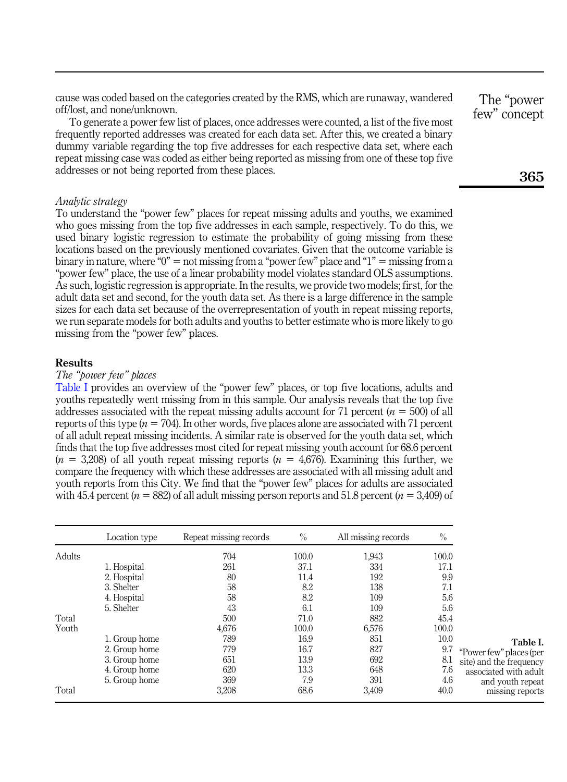cause was coded based on the categories created by the RMS, which are runaway, wandered off/lost, and none/unknown.

To generate a power few list of places, once addresses were counted, a list of the five most frequently reported addresses was created for each data set. After this, we created a binary dummy variable regarding the top five addresses for each respective data set, where each repeat missing case was coded as either being reported as missing from one of these top five addresses or not being reported from these places.

# Analytic strategy

To understand the "power few" places for repeat missing adults and youths, we examined who goes missing from the top five addresses in each sample, respectively. To do this, we used binary logistic regression to estimate the probability of going missing from these locations based on the previously mentioned covariates. Given that the outcome variable is binary in nature, where " $0$ " = not missing from a "power few" place and "1" = missing from a "power few" place, the use of a linear probability model violates standard OLS assumptions. As such, logistic regression is appropriate. In the results, we provide two models; first, for the adult data set and second, for the youth data set. As there is a large difference in the sample sizes for each data set because of the overrepresentation of youth in repeat missing reports, we run separate models for both adults and youths to better estimate who is more likely to go missing from the "power few" places.

# **Results**

#### The "power few" places

Table I provides an overview of the "power few" places, or top five locations, adults and youths repeatedly went missing from in this sample. Our analysis reveals that the top five addresses associated with the repeat missing adults account for 71 percent ( $n = 500$ ) of all reports of this type  $(n = 704)$ . In other words, five places alone are associated with 71 percent of all adult repeat missing incidents. A similar rate is observed for the youth data set, which finds that the top five addresses most cited for repeat missing youth account for 68.6 percent  $(n = 3,208)$  of all youth repeat missing reports  $(n = 4,676)$ . Examining this further, we compare the frequency with which these addresses are associated with all missing adult and youth reports from this City. We find that the "power few" places for adults are associated with 45.4 percent ( $n = 882$ ) of all adult missing person reports and 51.8 percent ( $n = 3,409$ ) of

|        | Location type | Repeat missing records | $\%$  | All missing records | $\%$  |                         |
|--------|---------------|------------------------|-------|---------------------|-------|-------------------------|
| Adults |               | 704                    | 100.0 | 1,943               | 100.0 |                         |
|        | 1. Hospital   | 261                    | 37.1  | 334                 | 17.1  |                         |
|        | 2. Hospital   | 80                     | 11.4  | 192                 | 9.9   |                         |
|        | 3. Shelter    | 58                     | 8.2   | 138                 | 7.1   |                         |
|        | 4. Hospital   | 58                     | 8.2   | 109                 | 5.6   |                         |
|        | 5. Shelter    | 43                     | 6.1   | 109                 | 5.6   |                         |
| Total  |               | 500                    | 71.0  | 882                 | 45.4  |                         |
| Youth  |               | 4,676                  | 100.0 | 6,576               | 100.0 |                         |
|        | 1. Group home | 789                    | 16.9  | 851                 | 10.0  | Table I.                |
|        | 2. Group home | 779                    | 16.7  | 827                 | 9.7   | "Power few" places (per |
|        | 3. Group home | 651                    | 13.9  | 692                 | 8.1   | site) and the frequency |
|        | 4. Group home | 620                    | 13.3  | 648                 | 7.6   | associated with adult   |
|        | 5. Group home | 369                    | 7.9   | 391                 | 4.6   | and youth repeat        |
| Total  |               | 3,208                  | 68.6  | 3,409               | 40.0  | missing reports         |

The "power few" concept

365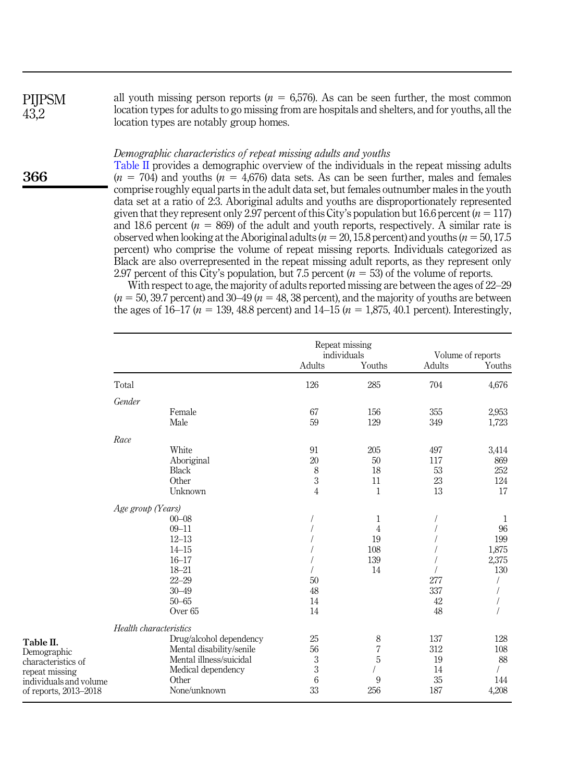all youth missing person reports ( $n = 6.576$ ). As can be seen further, the most common location types for adults to go missing from are hospitals and shelters, and for youths, all the location types are notably group homes. **PIIPSM** 43,2

#### Demographic characteristics of repeat missing adults and youths

Table II provides a demographic overview of the individuals in the repeat missing adults  $(n = 704)$  and youths  $(n = 4,676)$  data sets. As can be seen further, males and females comprise roughly equal parts in the adult data set, but females outnumber males in the youth data set at a ratio of 2:3. Aboriginal adults and youths are disproportionately represented given that they represent only 2.97 percent of this City's population but 16.6 percent ( $n = 117$ ) and 18.6 percent ( $n = 869$ ) of the adult and youth reports, respectively. A similar rate is observed when looking at the Aboriginal adults ( $n = 20, 15.8$  percent) and youths ( $n = 50, 17.5$ percent) who comprise the volume of repeat missing reports. Individuals categorized as Black are also overrepresented in the repeat missing adult reports, as they represent only 2.97 percent of this City's population, but 7.5 percent  $(n = 53)$  of the volume of reports.

With respect to age, the majority of adults reported missing are between the ages of 22–29  $(n = 50, 39.7)$  percent) and 30–49  $(n = 48, 38)$  percent), and the majority of youths are between the ages of 16–17 ( $n = 139, 48.8$  percent) and 14–15 ( $n = 1,875, 40.1$  percent). Interestingly,

|                                                                                                                     |                        |                                                                                                                               | Repeat missing<br>individuals<br>Adults<br>Youths |                                       | Volume of reports<br>Adults<br>Youths |                                  |
|---------------------------------------------------------------------------------------------------------------------|------------------------|-------------------------------------------------------------------------------------------------------------------------------|---------------------------------------------------|---------------------------------------|---------------------------------------|----------------------------------|
|                                                                                                                     | Total                  |                                                                                                                               | 126                                               | 285                                   | 704                                   | 4,676                            |
|                                                                                                                     | Gender                 |                                                                                                                               |                                                   |                                       |                                       |                                  |
|                                                                                                                     |                        | Female<br>Male                                                                                                                | 67<br>59                                          | 156<br>129                            | 355<br>349                            | 2,953<br>1,723                   |
|                                                                                                                     | Race                   |                                                                                                                               |                                                   |                                       |                                       |                                  |
|                                                                                                                     |                        | White<br>Aboriginal<br><b>Black</b><br>Other<br>Unknown                                                                       | 91<br>20<br>8<br>3<br>$\overline{4}$              | 205<br>50<br>18<br>11<br>$\mathbf{1}$ | 497<br>117<br>53<br>23<br>13          | 3,414<br>869<br>252<br>124<br>17 |
|                                                                                                                     | Age group (Years)      |                                                                                                                               |                                                   |                                       |                                       |                                  |
|                                                                                                                     |                        | $00 - 08$                                                                                                                     |                                                   | 1                                     |                                       | 1                                |
|                                                                                                                     |                        | $09 - 11$                                                                                                                     |                                                   | 4                                     |                                       | 96                               |
|                                                                                                                     |                        | $12 - 13$                                                                                                                     |                                                   | 19                                    |                                       | 199                              |
|                                                                                                                     |                        | $14 - 15$                                                                                                                     |                                                   | 108                                   |                                       | 1,875                            |
|                                                                                                                     |                        | $16 - 17$                                                                                                                     |                                                   | 139                                   |                                       | 2,375                            |
|                                                                                                                     |                        | $18 - 21$                                                                                                                     |                                                   | 14                                    |                                       | 130                              |
|                                                                                                                     |                        | $22 - 29$<br>$30 - 49$                                                                                                        | 50<br>48                                          |                                       | 277<br>337                            |                                  |
|                                                                                                                     |                        | $50 - 65$                                                                                                                     | 14                                                |                                       | 42                                    |                                  |
|                                                                                                                     |                        | Over <sub>65</sub>                                                                                                            | 14                                                |                                       | 48                                    |                                  |
|                                                                                                                     | Health characteristics |                                                                                                                               |                                                   |                                       |                                       |                                  |
| Table II.<br>Demographic<br>characteristics of<br>repeat missing<br>individuals and volume<br>of reports, 2013-2018 |                        | Drug/alcohol dependency<br>Mental disability/senile<br>Mental illness/suicidal<br>Medical dependency<br>Other<br>None/unknown | 25<br>56<br>3<br>3<br>6<br>33                     | 8<br>$\overline{7}$<br>5<br>9<br>256  | 137<br>312<br>19<br>14<br>35<br>187   | 128<br>108<br>88<br>144<br>4,208 |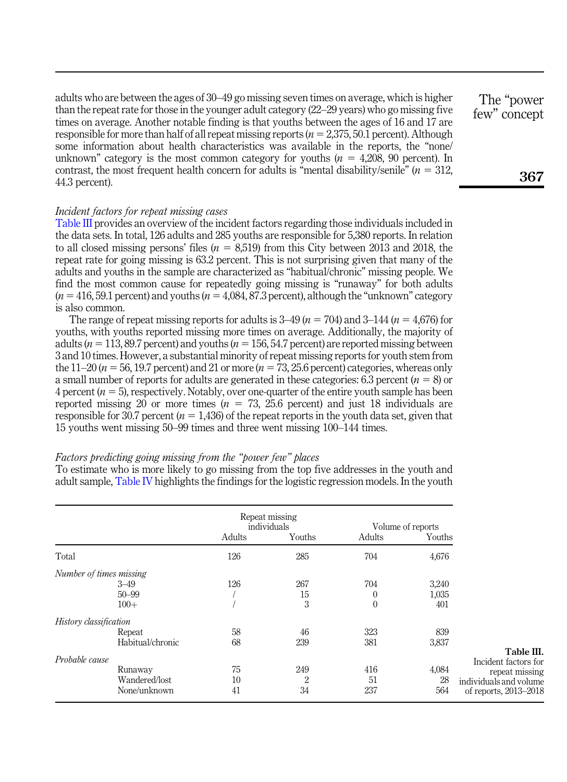adults who are between the ages of 30–49 go missing seven times on average, which is higher than the repeat rate for those in the younger adult category (22–29 years) who go missing five times on average. Another notable finding is that youths between the ages of 16 and 17 are responsible for more than half of all repeat missing reports ( $n = 2,375,50.1$  percent). Although some information about health characteristics was available in the reports, the "none/ unknown" category is the most common category for youths ( $n = 4,208, 90$  percent). In contrast, the most frequent health concern for adults is "mental disability/senile"  $(n = 312,$ 44.3 percent).

# Incident factors for repeat missing cases

Table III provides an overview of the incident factors regarding those individuals included in the data sets. In total, 126 adults and 285 youths are responsible for 5,380 reports. In relation to all closed missing persons' files  $(n = 8,519)$  from this City between 2013 and 2018, the repeat rate for going missing is 63.2 percent. This is not surprising given that many of the adults and youths in the sample are characterized as "habitual/chronic" missing people. We find the most common cause for repeatedly going missing is "runaway" for both adults  $(n = 416, 59.1$  percent) and youths  $(n = 4,084, 87.3$  percent), although the "unknown" category is also common.

The range of repeat missing reports for adults is  $3-49$  ( $n = 704$ ) and  $3-144$  ( $n = 4,676$ ) for youths, with youths reported missing more times on average. Additionally, the majority of adults ( $n = 113, 89.7$  percent) and youths ( $n = 156, 54.7$  percent) are reported missing between 3 and 10 times. However, a substantial minority of repeat missing reports for youth stem from the  $11-20$  ( $n = 56$ , 19.7 percent) and 21 or more ( $n = 73$ , 25.6 percent) categories, whereas only a small number of reports for adults are generated in these categories: 6.3 percent  $(n = 8)$  or 4 percent ( $n = 5$ ), respectively. Notably, over one-quarter of the entire youth sample has been reported missing 20 or more times  $(n = 73, 25.6 \text{ percent})$  and just 18 individuals are responsible for 30.7 percent ( $n = 1,436$ ) of the repeat reports in the youth data set, given that 15 youths went missing 50–99 times and three went missing 100–144 times.

# Factors predicting going missing from the "power few" places

To estimate who is more likely to go missing from the top five addresses in the youth and adult sample, [Table IV](#page-8-0) highlights the findings for the logistic regression models. In the youth

|                         |                  |        | Repeat missing<br>individuals |          | Volume of reports |                                    |
|-------------------------|------------------|--------|-------------------------------|----------|-------------------|------------------------------------|
|                         |                  | Adults | Youths                        | Adults   | Youths            |                                    |
| Total                   |                  | 126    | 285                           | 704      | 4,676             |                                    |
| Number of times missing |                  |        |                               |          |                   |                                    |
|                         | $3 - 49$         | 126    | 267                           | 704      | 3,240             |                                    |
|                         | $50 - 99$        |        | 15                            | $\left($ | 1,035             |                                    |
|                         | $100+$           |        | 3                             | $\Omega$ | 401               |                                    |
| History classification  |                  |        |                               |          |                   |                                    |
|                         | Repeat           | 58     | 46                            | 323      | 839               |                                    |
|                         | Habitual/chronic | 68     | 239                           | 381      | 3,837             |                                    |
| Probable cause          |                  |        |                               |          |                   | Table III.<br>Incident factors for |
|                         | Runaway          | 75     | 249                           | 416      | 4,084             | repeat missing                     |
|                         | Wandered/lost    | 10     | $\overline{2}$                | 51       | 28                | individuals and volume             |
|                         | None/unknown     | 41     | 34                            | 237      | 564               | of reports, 2013-2018              |

The "power few" concept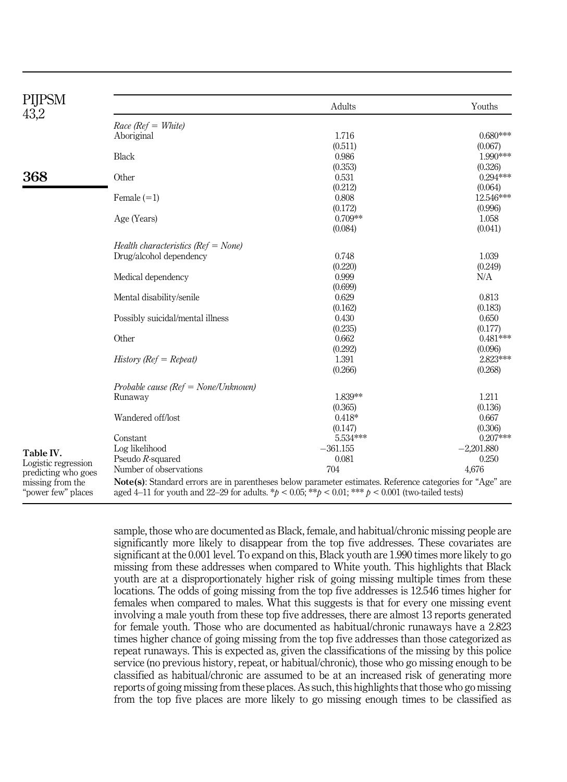<span id="page-8-0"></span>

| PIJPSM<br>43,2                                                |                                                                                                                                                                                                                                  | Adults     | Youths       |
|---------------------------------------------------------------|----------------------------------------------------------------------------------------------------------------------------------------------------------------------------------------------------------------------------------|------------|--------------|
|                                                               | $Race$ ( $Ref = White$ )                                                                                                                                                                                                         |            |              |
|                                                               | Aboriginal                                                                                                                                                                                                                       | 1.716      | $0.680***$   |
|                                                               |                                                                                                                                                                                                                                  | (0.511)    | (0.067)      |
|                                                               | <b>Black</b>                                                                                                                                                                                                                     | 0.986      | 1.990***     |
|                                                               |                                                                                                                                                                                                                                  | (0.353)    | (0.326)      |
| 368                                                           | Other                                                                                                                                                                                                                            | 0.531      | $0.294***$   |
|                                                               |                                                                                                                                                                                                                                  | (0.212)    | (0.064)      |
|                                                               | Female $(=1)$                                                                                                                                                                                                                    | 0.808      | 12.546***    |
|                                                               |                                                                                                                                                                                                                                  | (0.172)    | (0.996)      |
|                                                               | Age (Years)                                                                                                                                                                                                                      | $0.709**$  | 1.058        |
|                                                               |                                                                                                                                                                                                                                  | (0.084)    | (0.041)      |
|                                                               | Health characteristics ( $Ref = None$ )                                                                                                                                                                                          |            |              |
|                                                               | Drug/alcohol dependency                                                                                                                                                                                                          | 0.748      | 1.039        |
|                                                               |                                                                                                                                                                                                                                  | (0.220)    | (0.249)      |
|                                                               | Medical dependency                                                                                                                                                                                                               | 0.999      | N/A          |
|                                                               |                                                                                                                                                                                                                                  | (0.699)    |              |
|                                                               | Mental disability/senile                                                                                                                                                                                                         | 0.629      | 0.813        |
|                                                               |                                                                                                                                                                                                                                  | (0.162)    | (0.183)      |
|                                                               | Possibly suicidal/mental illness                                                                                                                                                                                                 | 0.430      | 0.650        |
|                                                               |                                                                                                                                                                                                                                  | (0.235)    | (0.177)      |
|                                                               | Other                                                                                                                                                                                                                            | 0.662      | $0.481***$   |
|                                                               |                                                                                                                                                                                                                                  | (0.292)    | (0.096)      |
|                                                               | $History (Ref = Repeat)$                                                                                                                                                                                                         | 1.391      | 2.823***     |
|                                                               |                                                                                                                                                                                                                                  | (0.266)    | (0.268)      |
|                                                               | Probable cause ( $Ref = None/Unknown$ )                                                                                                                                                                                          |            |              |
|                                                               | Runaway                                                                                                                                                                                                                          | 1.839**    | 1.211        |
|                                                               |                                                                                                                                                                                                                                  | (0.365)    | (0.136)      |
|                                                               | Wandered off/lost                                                                                                                                                                                                                | $0.418*$   | 0.667        |
|                                                               |                                                                                                                                                                                                                                  | (0.147)    | (0.306)      |
|                                                               | Constant                                                                                                                                                                                                                         | 5.534***   | $0.207***$   |
|                                                               | Log likelihood                                                                                                                                                                                                                   | $-361.155$ | $-2,201.880$ |
| Table IV.                                                     | Pseudo R-squared                                                                                                                                                                                                                 | 0.081      | 0.250        |
| Logistic regression                                           | Number of observations                                                                                                                                                                                                           | 704        | 4,676        |
| predicting who goes<br>missing from the<br>"power few" places | <b>Note(s)</b> : Standard errors are in parentheses below parameter estimates. Reference categories for "Age" are<br>aged 4-11 for youth and 22-29 for adults. * $p < 0.05$ ; ** $p < 0.01$ ; *** $p < 0.001$ (two-tailed tests) |            |              |
|                                                               |                                                                                                                                                                                                                                  |            |              |

sample, those who are documented as Black, female, and habitual/chronic missing people are significantly more likely to disappear from the top five addresses. These covariates are significant at the 0.001 level. To expand on this, Black youth are 1.990 times more likely to go missing from these addresses when compared to White youth. This highlights that Black youth are at a disproportionately higher risk of going missing multiple times from these locations. The odds of going missing from the top five addresses is 12.546 times higher for females when compared to males. What this suggests is that for every one missing event involving a male youth from these top five addresses, there are almost 13 reports generated for female youth. Those who are documented as habitual/chronic runaways have a 2.823 times higher chance of going missing from the top five addresses than those categorized as repeat runaways. This is expected as, given the classifications of the missing by this police service (no previous history, repeat, or habitual/chronic), those who go missing enough to be classified as habitual/chronic are assumed to be at an increased risk of generating more reports of going missing from these places. As such, this highlights that those who go missing from the top five places are more likely to go missing enough times to be classified as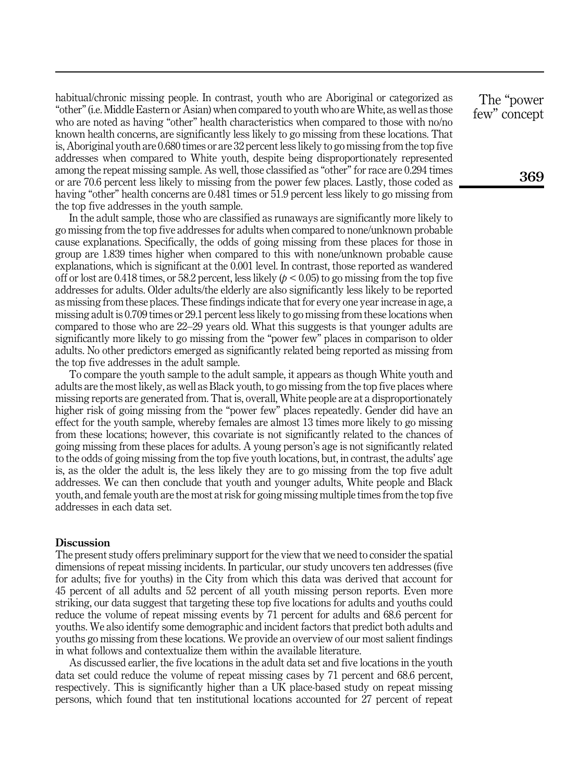habitual/chronic missing people. In contrast, youth who are Aboriginal or categorized as "other"(i.e. Middle Eastern or Asian) when compared to youth who are White, as well as those who are noted as having "other" health characteristics when compared to those with no/no known health concerns, are significantly less likely to go missing from these locations. That is, Aboriginal youth are 0.680 times or are 32 percent less likely to go missing from the top five addresses when compared to White youth, despite being disproportionately represented among the repeat missing sample. As well, those classified as "other" for race are 0.294 times or are 70.6 percent less likely to missing from the power few places. Lastly, those coded as having "other" health concerns are 0.481 times or 51.9 percent less likely to go missing from the top five addresses in the youth sample.

In the adult sample, those who are classified as runaways are significantly more likely to go missing from the top five addresses for adults when compared to none/unknown probable cause explanations. Specifically, the odds of going missing from these places for those in group are 1.839 times higher when compared to this with none/unknown probable cause explanations, which is significant at the 0.001 level. In contrast, those reported as wandered off or lost are 0.418 times, or 58.2 percent, less likely  $(p < 0.05)$  to go missing from the top five addresses for adults. Older adults/the elderly are also significantly less likely to be reported as missing from these places. These findings indicate that for every one year increase in age, a missing adult is 0.709 times or 29.1 percent less likely to go missing from these locations when compared to those who are 22–29 years old. What this suggests is that younger adults are significantly more likely to go missing from the "power few" places in comparison to older adults. No other predictors emerged as significantly related being reported as missing from the top five addresses in the adult sample.

To compare the youth sample to the adult sample, it appears as though White youth and adults are the most likely, as well as Black youth, to go missing from the top five places where missing reports are generated from. That is, overall, White people are at a disproportionately higher risk of going missing from the "power few" places repeatedly. Gender did have an effect for the youth sample, whereby females are almost 13 times more likely to go missing from these locations; however, this covariate is not significantly related to the chances of going missing from these places for adults. A young person's age is not significantly related to the odds of going missing from the top five youth locations, but, in contrast, the adults' age is, as the older the adult is, the less likely they are to go missing from the top five adult addresses. We can then conclude that youth and younger adults, White people and Black youth, and female youth are the most at risk for going missing multiple times from the top five addresses in each data set.

# **Discussion**

The present study offers preliminary support for the view that we need to consider the spatial dimensions of repeat missing incidents. In particular, our study uncovers ten addresses (five for adults; five for youths) in the City from which this data was derived that account for 45 percent of all adults and 52 percent of all youth missing person reports. Even more striking, our data suggest that targeting these top five locations for adults and youths could reduce the volume of repeat missing events by 71 percent for adults and 68.6 percent for youths. We also identify some demographic and incident factors that predict both adults and youths go missing from these locations. We provide an overview of our most salient findings in what follows and contextualize them within the available literature.

As discussed earlier, the five locations in the adult data set and five locations in the youth data set could reduce the volume of repeat missing cases by 71 percent and 68.6 percent, respectively. This is significantly higher than a UK place-based study on repeat missing persons, which found that ten institutional locations accounted for 27 percent of repeat

The "power few" concept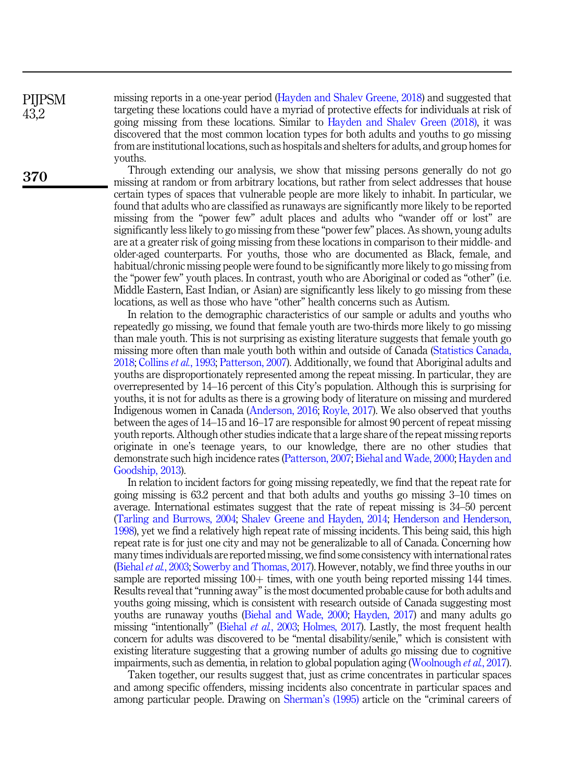missing reports in a one-year period ([Hayden and Shalev Greene, 2018](#page-12-7)) and suggested that targeting these locations could have a myriad of protective effects for individuals at risk of going missing from these locations. Similar to [Hayden and Shalev Green \(2018\)](#page-12-7), it was discovered that the most common location types for both adults and youths to go missing from are institutional locations, such as hospitals and shelters for adults, and group homes for youths.

Through extending our analysis, we show that missing persons generally do not go missing at random or from arbitrary locations, but rather from select addresses that house certain types of spaces that vulnerable people are more likely to inhabit. In particular, we found that adults who are classified as runaways are significantly more likely to be reported missing from the "power few" adult places and adults who "wander off or lost" are significantly less likely to go missing from these "power few" places. As shown, young adults are at a greater risk of going missing from these locations in comparison to their middle- and older-aged counterparts. For youths, those who are documented as Black, female, and habitual/chronic missing people were found to be significantly more likely to go missing from the "power few" youth places. In contrast, youth who are Aboriginal or coded as "other" (i.e. Middle Eastern, East Indian, or Asian) are significantly less likely to go missing from these locations, as well as those who have "other" health concerns such as Autism.

In relation to the demographic characteristics of our sample or adults and youths who repeatedly go missing, we found that female youth are two-thirds more likely to go missing than male youth. This is not surprising as existing literature suggests that female youth go missing more often than male youth both within and outside of Canada [\(Statistics Canada,](#page-14-0) [2018;](#page-14-0) [Collins](#page-12-12) et al., 1993; [Patterson, 2007\)](#page-13-16). Additionally, we found that Aboriginal adults and youths are disproportionately represented among the repeat missing. In particular, they are overrepresented by 14–16 percent of this City's population. Although this is surprising for youths, it is not for adults as there is a growing body of literature on missing and murdered Indigenous women in Canada [\(Anderson, 2016](#page-12-4); [Royle, 2017](#page-13-3)). We also observed that youths between the ages of 14–15 and 16–17 are responsible for almost 90 percent of repeat missing youth reports. Although other studies indicate that a large share of the repeat missing reports originate in one's teenage years, to our knowledge, there are no other studies that demonstrate such high incidence rates ([Patterson, 2007;](#page-13-16) [Biehal and Wade, 2000](#page-12-13); [Hayden and](#page-12-14) [Goodship, 2013\)](#page-12-14).

In relation to incident factors for going missing repeatedly, we find that the repeat rate for going missing is 63.2 percent and that both adults and youths go missing 3–10 times on average. International estimates suggest that the rate of repeat missing is 34–50 percent [\(Tarling and Burrows, 2004](#page-14-1); [Shalev Greene and Hayden, 2014](#page-13-1); [Henderson and Henderson,](#page-12-2) [1998\)](#page-12-2), yet we find a relatively high repeat rate of missing incidents. This being said, this high repeat rate is for just one city and may not be generalizable to all of Canada. Concerning how many times individuals are reported missing, we find some consistency with international rates [\(Biehal](#page-12-1) et al., 2003; [Sowerby and Thomas, 2017\)](#page-13-5). However, notably, we find three youths in our sample are reported missing  $100+$  times, with one youth being reported missing 144 times. Results reveal that"running away"is the most documented probable cause for both adults and youths going missing, which is consistent with research outside of Canada suggesting most youths are runaway youths ([Biehal and Wade, 2000;](#page-12-13) [Hayden, 2017](#page-12-15)) and many adults go missing "intentionally" [\(Biehal](#page-12-1) *et al.*, 2003; [Holmes, 2017](#page-13-7)). Lastly, the most frequent health concern for adults was discovered to be "mental disability/senile," which is consistent with existing literature suggesting that a growing number of adults go missing due to cognitive impairments, such as dementia, in relation to global population aging ([Woolnough](#page-14-6) et al., 2017).

Taken together, our results suggest that, just as crime concentrates in particular spaces and among specific offenders, missing incidents also concentrate in particular spaces and among particular people. Drawing on [Sherman](#page-13-17)'s (1995) article on the "criminal careers of

**PIIPSM** 43,2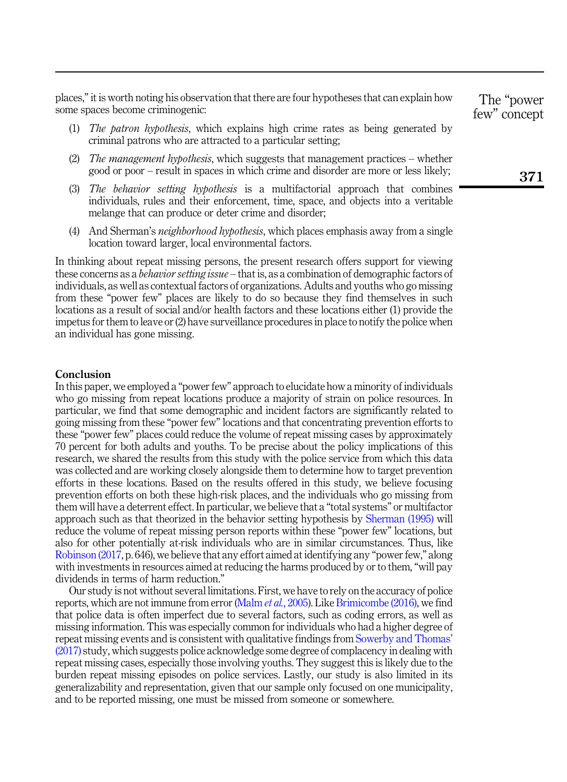places,"it is worth noting his observation that there are four hypotheses that can explain how some spaces become criminogenic:

- (1) The patron hypothesis, which explains high crime rates as being generated by criminal patrons who are attracted to a particular setting;
- (2) The management hypothesis, which suggests that management practices whether good or poor – result in spaces in which crime and disorder are more or less likely;
- (3) The behavior setting hypothesis is a multifactorial approach that combines individuals, rules and their enforcement, time, space, and objects into a veritable melange that can produce or deter crime and disorder;
- (4) And Sherman's neighborhood hypothesis, which places emphasis away from a single location toward larger, local environmental factors.

In thinking about repeat missing persons, the present research offers support for viewing these concerns as a *behavior setting issue* – that is, as a combination of demographic factors of individuals, as well as contextual factors of organizations. Adults and youths who go missing from these "power few" places are likely to do so because they find themselves in such locations as a result of social and/or health factors and these locations either (1) provide the impetus for them to leave or (2) have surveillance procedures in place to notify the police when an individual has gone missing.

### Conclusion

In this paper, we employed a "power few" approach to elucidate how a minority of individuals who go missing from repeat locations produce a majority of strain on police resources. In particular, we find that some demographic and incident factors are significantly related to going missing from these "power few" locations and that concentrating prevention efforts to these "power few" places could reduce the volume of repeat missing cases by approximately 70 percent for both adults and youths. To be precise about the policy implications of this research, we shared the results from this study with the police service from which this data was collected and are working closely alongside them to determine how to target prevention efforts in these locations. Based on the results offered in this study, we believe focusing prevention efforts on both these high-risk places, and the individuals who go missing from them will have a deterrent effect. In particular, we believe that a "total systems" or multifactor approach such as that theorized in the behavior setting hypothesis by [Sherman \(1995\)](#page-13-17) will reduce the volume of repeat missing person reports within these "power few" locations, but also for other potentially at-risk individuals who are in similar circumstances. Thus, like [Robinson \(2017,](#page-13-14) p. 646), we believe that any effort aimed at identifying any "power few," along with investments in resources aimed at reducing the harms produced by or to them,"will pay dividends in terms of harm reduction."

Our study is not without several limitations. First, we have to rely on the accuracy of police reports, which are not immune from error ([Malm](#page-13-18) et al., 2005). Like [Brimicombe \(2016\),](#page-12-16) we find that police data is often imperfect due to several factors, such as coding errors, as well as missing information. This was especially common for individuals who had a higher degree of repeat missing events and is consistent with qualitative findings from [Sowerby and Thomas](#page-13-5)' [\(2017\)](#page-13-5) study, which suggests police acknowledge some degree of complacency in dealing with repeat missing cases, especially those involving youths. They suggest this is likely due to the burden repeat missing episodes on police services. Lastly, our study is also limited in its generalizability and representation, given that our sample only focused on one municipality, and to be reported missing, one must be missed from someone or somewhere.

The "power few" concept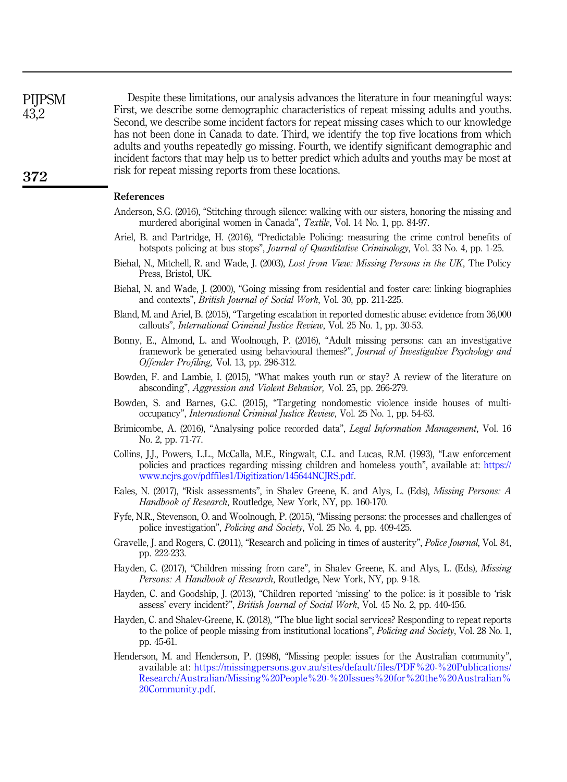**PIIPSM** 43,2

Despite these limitations, our analysis advances the literature in four meaningful ways: First, we describe some demographic characteristics of repeat missing adults and youths. Second, we describe some incident factors for repeat missing cases which to our knowledge has not been done in Canada to date. Third, we identify the top five locations from which adults and youths repeatedly go missing. Fourth, we identify significant demographic and incident factors that may help us to better predict which adults and youths may be most at risk for repeat missing reports from these locations.

# References

- <span id="page-12-4"></span>Anderson, S.G. (2016), "Stitching through silence: walking with our sisters, honoring the missing and murdered aboriginal women in Canada", Textile, Vol. 14 No. 1, pp. 84-97.
- <span id="page-12-9"></span>Ariel, B. and Partridge, H. (2016), "Predictable Policing: measuring the crime control benefits of hotspots policing at bus stops", *Journal of Quantitative Criminology*, Vol. 33 No. 4, pp. 1-25.
- <span id="page-12-1"></span>Biehal, N., Mitchell, R. and Wade, J. (2003), Lost from View: Missing Persons in the UK, The Policy Press, Bristol, UK.
- <span id="page-12-13"></span>Biehal, N. and Wade, J. (2000), "Going missing from residential and foster care: linking biographies and contexts", British Journal of Social Work, Vol. 30, pp. 211-225.
- <span id="page-12-11"></span>Bland, M. and Ariel, B. (2015), "Targeting escalation in reported domestic abuse: evidence from 36,000 callouts", International Criminal Justice Review, Vol. 25 No. 1, pp. 30-53.
- <span id="page-12-8"></span>Bonny, E., Almond, L. and Woolnough, P. (2016), "Adult missing persons: can an investigative framework be generated using behavioural themes?", *Journal of Investigative Psychology and* Offender Profiling, Vol. 13, pp. 296-312.
- <span id="page-12-6"></span>Bowden, F. and Lambie, I. (2015), "What makes youth run or stay? A review of the literature on absconding", Aggression and Violent Behavior, Vol. 25, pp. 266-279.
- <span id="page-12-10"></span>Bowden, S. and Barnes, G.C. (2015), "Targeting nondomestic violence inside houses of multioccupancy", International Criminal Justice Review, Vol. 25 No. 1, pp. 54-63.
- <span id="page-12-16"></span>Brimicombe, A. (2016), "Analysing police recorded data", *Legal Information Management*, Vol. 16 No. 2, pp. 71-77.
- <span id="page-12-12"></span>Collins, J.J., Powers, L.L., McCalla, M.E., Ringwalt, C.L. and Lucas, R.M. (1993), "Law enforcement policies and practices regarding missing children and homeless youth", available at: [https://](https://www.ncjrs.gov/pdffiles1/Digitization/145644NCJRS.pdf) [www.ncjrs.gov/pdffiles1/Digitization/145644NCJRS.pdf](https://www.ncjrs.gov/pdffiles1/Digitization/145644NCJRS.pdf).
- <span id="page-12-5"></span>Eales, N. (2017), "Risk assessments", in Shalev Greene, K. and Alys, L. (Eds), Missing Persons: A Handbook of Research, Routledge, New York, NY, pp. 160-170.
- <span id="page-12-3"></span>Fyfe, N.R., Stevenson, O. and Woolnough, P. (2015), "Missing persons: the processes and challenges of police investigation", Policing and Society, Vol. 25 No. 4, pp. 409-425.
- <span id="page-12-0"></span>Gravelle, J. and Rogers, C. (2011), "Research and policing in times of austerity", Police Journal, Vol. 84, pp. 222-233.
- <span id="page-12-15"></span>Hayden, C. (2017), "Children missing from care", in Shalev Greene, K. and Alys, L. (Eds), Missing Persons: A Handbook of Research, Routledge, New York, NY, pp. 9-18.
- <span id="page-12-14"></span>Hayden, C. and Goodship, J. (2013), "Children reported 'missing' to the police: is it possible to 'risk assess' every incident?", British Journal of Social Work, Vol. 45 No. 2, pp. 440-456.
- <span id="page-12-7"></span>Hayden, C. and Shalev-Greene, K. (2018), "The blue light social services? Responding to repeat reports to the police of people missing from institutional locations", *Policing and Society*, Vol. 28 No. 1, pp. 45-61.
- <span id="page-12-2"></span>Henderson, M. and Henderson, P. (1998), "Missing people: issues for the Australian community", available at: [https://missingpersons.gov.au/sites/default/files/PDF%20-%20Publications/](https://missingpersons.gov.au/sites/default/files/PDF%20-%20Publications/Research/Australian/Missing%20People%20-%20Issues%20for%20the%20Australian%20Community.pdf) [Research/Australian/Missing%20People%20-%20Issues%20for%20the%20Australian%](https://missingpersons.gov.au/sites/default/files/PDF%20-%20Publications/Research/Australian/Missing%20People%20-%20Issues%20for%20the%20Australian%20Community.pdf) [20Community.pdf.](https://missingpersons.gov.au/sites/default/files/PDF%20-%20Publications/Research/Australian/Missing%20People%20-%20Issues%20for%20the%20Australian%20Community.pdf)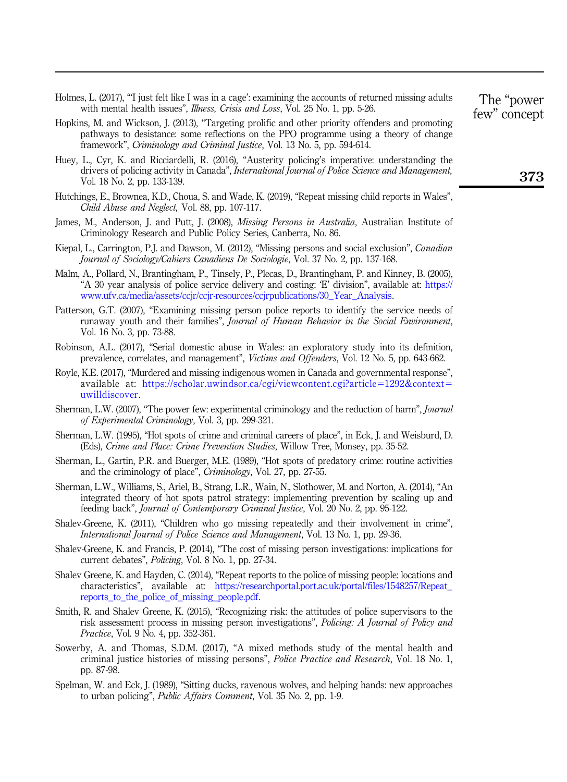- <span id="page-13-7"></span>Holmes, L. (2017), "'I just felt like I was in a cage': examining the accounts of returned missing adults with mental health issues", Illness, Crisis and Loss, Vol. 25 No. 1, pp. 5-26.
- <span id="page-13-15"></span>Hopkins, M. and Wickson, J. (2013), "Targeting prolific and other priority offenders and promoting pathways to desistance: some reflections on the PPO programme using a theory of change framework", Criminology and Criminal Justice, Vol. 13 No. 5, pp. 594-614.
- <span id="page-13-0"></span>Huey, L., Cyr, K. and Ricciardelli, R. (2016), "Austerity policing's imperative: understanding the drivers of policing activity in Canada", International Journal of Police Science and Management, Vol. 18 No. 2, pp. 133-139.
- <span id="page-13-10"></span>Hutchings, E., Brownea, K.D., Choua, S. and Wade, K. (2019), "Repeat missing child reports in Wales", Child Abuse and Neglect, Vol. 88, pp. 107-117.
- <span id="page-13-9"></span>James, M., Anderson, J. and Putt, J. (2008), *Missing Persons in Australia*, Australian Institute of Criminology Research and Public Policy Series, Canberra, No. 86.
- <span id="page-13-4"></span>Kiepal, L., Carrington, P.J. and Dawson, M. (2012), "Missing persons and social exclusion", Canadian Journal of Sociology/Cahiers Canadiens De Sociologie, Vol. 37 No. 2, pp. 137-168.
- <span id="page-13-18"></span>Malm, A., Pollard, N., Brantingham, P., Tinsely, P., Plecas, D., Brantingham, P. and Kinney, B. (2005), "A 30 year analysis of police service delivery and costing: 'E' division", available at: [https://](https://www.ufv.ca/media/assets/ccjr/ccjr-resources/ccjrpublications/30_Year_Analysis) [www.ufv.ca/media/assets/ccjr/ccjr-resources/ccjrpublications/30\\_Year\\_Analysis](https://www.ufv.ca/media/assets/ccjr/ccjr-resources/ccjrpublications/30_Year_Analysis).
- <span id="page-13-16"></span>Patterson, G.T. (2007), "Examining missing person police reports to identify the service needs of runaway youth and their families", Journal of Human Behavior in the Social Environment, Vol. 16 No. 3, pp. 73-88.
- <span id="page-13-14"></span>Robinson, A.L. (2017), "Serial domestic abuse in Wales: an exploratory study into its definition, prevalence, correlates, and management", Victims and Offenders, Vol. 12 No. 5, pp. 643-662.
- <span id="page-13-3"></span>Royle, K.E. (2017), "Murdered and missing indigenous women in Canada and governmental response", available at: [https://scholar.uwindsor.ca/cgi/viewcontent.cgi?article](https://scholar.uwindsor.ca/cgi/viewcontent.cgi?article=1292&context=uwilldiscover)=[1292&context](https://scholar.uwindsor.ca/cgi/viewcontent.cgi?article=1292&context=uwilldiscover)= [uwilldiscover](https://scholar.uwindsor.ca/cgi/viewcontent.cgi?article=1292&context=uwilldiscover).
- <span id="page-13-2"></span>Sherman, L.W. (2007), "The power few: experimental criminology and the reduction of harm", *Journal* of Experimental Criminology, Vol. 3, pp. 299-321.
- <span id="page-13-17"></span>Sherman, L.W. (1995), "Hot spots of crime and criminal careers of place", in Eck, J. and Weisburd, D. (Eds), Crime and Place: Crime Prevention Studies, Willow Tree, Monsey, pp. 35-52.
- <span id="page-13-12"></span>Sherman, L., Gartin, P.R. and Buerger, M.E. (1989), "Hot spots of predatory crime: routine activities and the criminology of place", Criminology, Vol. 27, pp. 27-55.
- <span id="page-13-13"></span>Sherman, L.W., Williams, S., Ariel, B., Strang, L.R., Wain, N., Slothower, M. and Norton, A. (2014), "An integrated theory of hot spots patrol strategy: implementing prevention by scaling up and feeding back", Journal of Contemporary Criminal Justice, Vol. 20 No. 2, pp. 95-122.
- <span id="page-13-8"></span>Shalev-Greene, K. (2011), "Children who go missing repeatedly and their involvement in crime", International Journal of Police Science and Management, Vol. 13 No. 1, pp. 29-36.
- Shalev-Greene, K. and Francis, P. (2014), "The cost of missing person investigations: implications for current debates", Policing, Vol. 8 No. 1, pp. 27-34.
- <span id="page-13-1"></span>Shalev Greene, K. and Hayden, C. (2014), "Repeat reports to the police of missing people: locations and characteristics", available at: [https://researchportal.port.ac.uk/portal/files/1548257/Repeat\\_](https://researchportal.port.ac.uk/portal/files/1548257/Repeat_reports_to_the_police_of_missing_people.pdf) [reports\\_to\\_the\\_police\\_of\\_missing\\_people.pdf](https://researchportal.port.ac.uk/portal/files/1548257/Repeat_reports_to_the_police_of_missing_people.pdf).
- <span id="page-13-6"></span>Smith, R. and Shalev Greene, K. (2015), "Recognizing risk: the attitudes of police supervisors to the risk assessment process in missing person investigations", Policing: A Journal of Policy and Practice, Vol. 9 No. 4, pp. 352-361.
- <span id="page-13-5"></span>Sowerby, A. and Thomas, S.D.M. (2017), "A mixed methods study of the mental health and criminal justice histories of missing persons", Police Practice and Research, Vol. 18 No. 1, pp. 87-98.
- <span id="page-13-11"></span>Spelman, W. and Eck, J. (1989), "Sitting ducks, ravenous wolves, and helping hands: new approaches to urban policing", Public Affairs Comment, Vol. 35 No. 2, pp. 1-9.

The "power few" concept